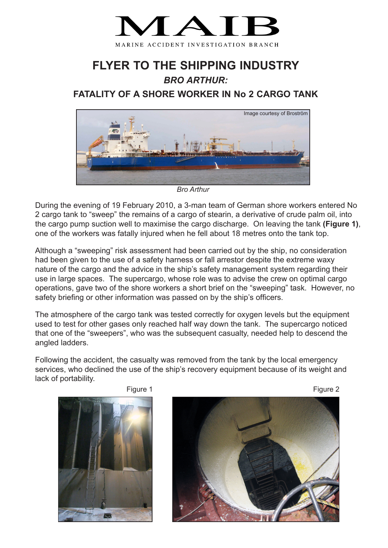

## **FLYER TO THE SHIPPING INDUSTRY** *BRO ARTHUR:*

## **FATALITY OF A SHORE WORKER IN No 2 CARGO TANK**



*Bro Arthur*

During the evening of 19 February 2010, a 3-man team of German shore workers entered No 2 cargo tank to "sweep" the remains of a cargo of stearin, a derivative of crude palm oil, into the cargo pump suction well to maximise the cargo discharge. On leaving the tank **(Figure 1)**, one of the workers was fatally injured when he fell about 18 metres onto the tank top.

Although a "sweeping" risk assessment had been carried out by the ship, no consideration had been given to the use of a safety harness or fall arrestor despite the extreme waxy nature of the cargo and the advice in the ship's safety management system regarding their use in large spaces. The supercargo, whose role was to advise the crew on optimal cargo operations, gave two of the shore workers a short brief on the "sweeping" task. However, no safety briefing or other information was passed on by the ship's officers.

The atmosphere of the cargo tank was tested correctly for oxygen levels but the equipment used to test for other gases only reached half way down the tank. The supercargo noticed that one of the "sweepers", who was the subsequent casualty, needed help to descend the angled ladders.

Following the accident, the casualty was removed from the tank by the local emergency services, who declined the use of the ship's recovery equipment because of its weight and lack of portability.